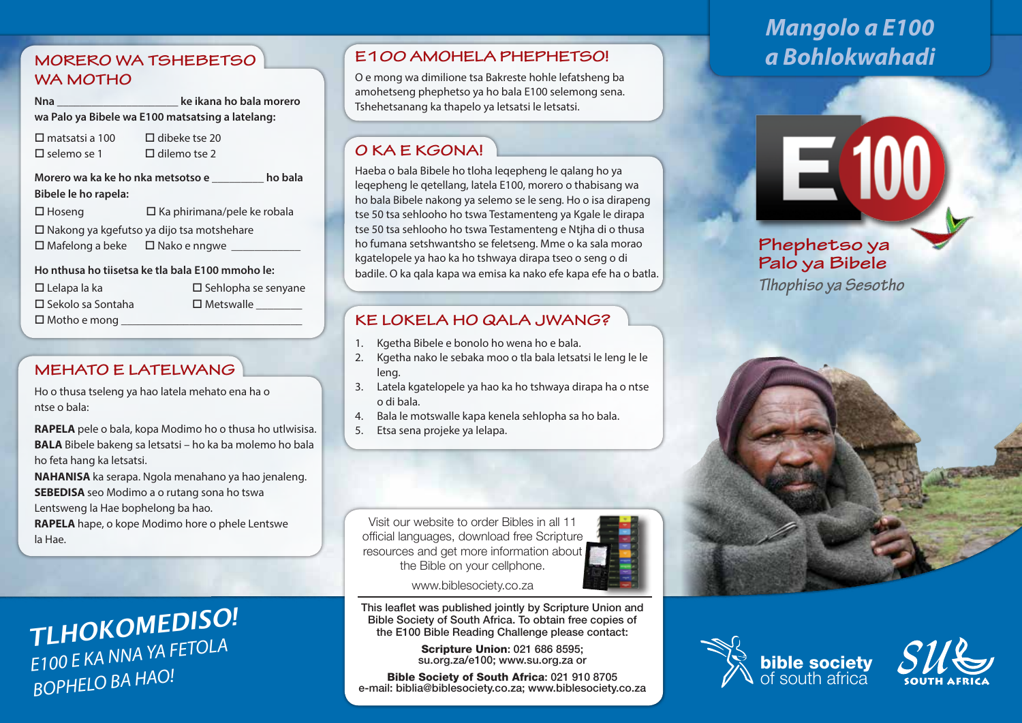### **MORERO WA TSHEBETSO WA MOTHO**

**Nna \_\_\_\_\_\_\_\_\_\_\_\_\_\_\_\_\_\_\_\_\_ ke ikana ho bala morero wa Palo ya Bibele wa E100 matsatsing a latelang:**

 $\Pi$  matsatsi a 100  $\Pi$  dibeke tse 20  $\Box$  selemo se 1  $\Box$  dilemo tse 2

**Morero wa ka ke ho nka metsotso e \_\_\_\_\_\_\_\_\_ ho bala Bibele le ho rapela:**   $\square$  Hoseng  $\square$  Ka phirimana/pele ke robala  $\square$  Nakong ya kgefutso ya dijo tsa motshehare  $\square$  Mafelong a beke  $\square$  Nako e nngwe

**Ho nthusa ho tiisetsa ke tla bala E100 mmoho le:** 

| $\Box$ Lelapa la ka      | $\square$ Sehlopha se senyane |
|--------------------------|-------------------------------|
| $\Box$ Sekolo sa Sontaha | $\square$ Metswalle           |
| $\Box$ Motho e mong      |                               |

### **MEHATO E LATELWANG**

Ho o thusa tseleng ya hao latela mehato ena ha o ntse o bala:

**RAPELA** pele o bala, kopa Modimo ho o thusa ho utlwisisa. **BALA** Bibele bakeng sa letsatsi – ho ka ba molemo ho bala ho feta hang ka letsatsi.

**NAHANISA** ka serapa. Ngola menahano ya hao jenaleng. **SEBEDISA** seo Modimo a o rutang sona ho tswa

Lentsweng la Hae bophelong ba hao.

**RAPELA** hape, o kope Modimo hore o phele Lentswe la Hae.

# *TLHOKOMEDISO! E100 E KA NNA YA FETOLA BOPHELO BA HAO!*

# **E100 AMOHELA PHEPHETSO!** *a Bohlokwahadi*

O e mong wa dimilione tsa Bakreste hohle lefatsheng ba amohetseng phephetso ya ho bala E100 selemong sena. Tshehetsanang ka thapelo ya letsatsi le letsatsi.

# **O KA E KGONA!**

Haeba o bala Bibele ho tloha leqepheng le qalang ho ya leqepheng le qetellang, latela E100, morero o thabisang wa ho bala Bibele nakong ya selemo se le seng. Ho o isa dirapeng tse 50 tsa sehlooho ho tswa Testamenteng ya Kgale le dirapa tse 50 tsa sehlooho ho tswa Testamenteng e Ntjha di o thusa ho fumana setshwantsho se feletseng. Mme o ka sala morao kgatelopele ya hao ka ho tshwaya dirapa tseo o seng o di badile. O ka qala kapa wa emisa ka nako efe kapa efe ha o batla.

### **KE LOKELA HO QALA JWANG?**

- 1. Kgetha Bibele e bonolo ho wena ho e bala.
- 2. Kgetha nako le sebaka moo o tla bala letsatsi le leng le le leng.
- 3. Latela kgatelopele ya hao ka ho tshwaya dirapa ha o ntse o di bala.
- 4. Bala le motswalle kapa kenela sehlopha sa ho bala.
- 5. Etsa sena projeke ya lelapa.

Visit our website to order Bibles in all 11 official languages, download free Scripture resources and get more information about the Bible on your cellphone.



www.biblesociety.co.za

This leaflet was published jointly by Scripture Union and Bible Society of South Africa. To obtain free copies of the E100 Bible Reading Challenge please contact:

> Scripture Union: 021 686 8595; su.org.za/e100; www.su.org.za or

Bible Society of South Africa: 021 910 8705 e-mail: biblia@biblesociety.co.za; www.biblesociety.co.za

# *Mangolo a E100*

E 100

**Phephetso ya Palo ya Bibele** *Tlhophiso ya Sesotho*